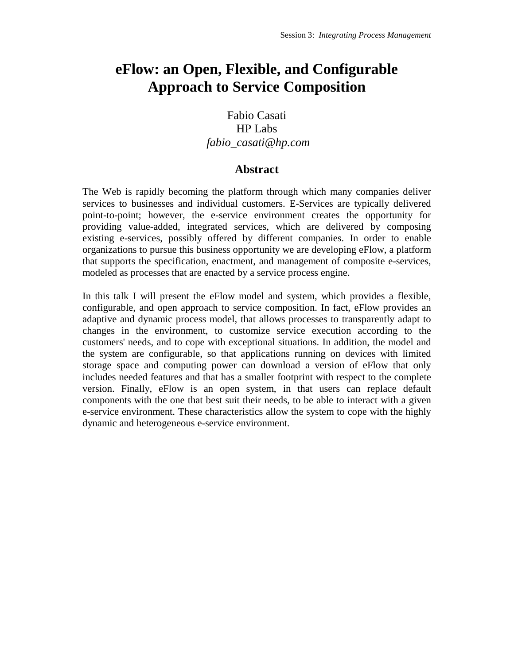## **eFlow: an Open, Flexible, and Configurable Approach to Service Composition**

## Fabio Casati HP Labs *fabio\_casati@hp.com*

## **Abstract**

The Web is rapidly becoming the platform through which many companies deliver services to businesses and individual customers. E-Services are typically delivered point-to-point; however, the e-service environment creates the opportunity for providing value-added, integrated services, which are delivered by composing existing e-services, possibly offered by different companies. In order to enable organizations to pursue this business opportunity we are developing eFlow, a platform that supports the specification, enactment, and management of composite e-services, modeled as processes that are enacted by a service process engine.

In this talk I will present the eFlow model and system, which provides a flexible, configurable, and open approach to service composition. In fact, eFlow provides an adaptive and dynamic process model, that allows processes to transparently adapt to changes in the environment, to customize service execution according to the customers' needs, and to cope with exceptional situations. In addition, the model and the system are configurable, so that applications running on devices with limited storage space and computing power can download a version of eFlow that only includes needed features and that has a smaller footprint with respect to the complete version. Finally, eFlow is an open system, in that users can replace default components with the one that best suit their needs, to be able to interact with a given e-service environment. These characteristics allow the system to cope with the highly dynamic and heterogeneous e-service environment.